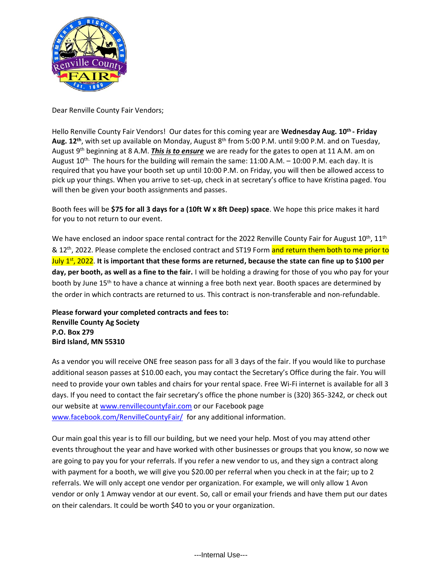

Dear Renville County Fair Vendors;

Hello Renville County Fair Vendors! Our dates for this coming year are **Wednesday Aug. 10 th - Friday** Aug. 12<sup>th</sup>, with set up available on Monday, August 8<sup>th</sup> from 5:00 P.M. until 9:00 P.M. and on Tuesday, August 9 th beginning at 8 A.M. *This is to ensure* we are ready for the gates to open at 11 A.M. am on August 10<sup>th.</sup> The hours for the building will remain the same: 11:00 A.M. - 10:00 P.M. each day. It is required that you have your booth set up until 10:00 P.M. on Friday, you will then be allowed access to pick up your things. When you arrive to set-up, check in at secretary's office to have Kristina paged. You will then be given your booth assignments and passes.

Booth fees will be **\$75 for all 3 days for a (10ft W x 8ft Deep) space**. We hope this price makes it hard for you to not return to our event.

We have enclosed an indoor space rental contract for the 2022 Renville County Fair for August  $10^{\text{th}}$ ,  $11^{\text{th}}$ & 12<sup>th</sup>, 2022. Please complete the enclosed contract and ST19 Form <mark>and return them both to me prior to</mark> July 1st, 2022. **It is important that these forms are returned, because the state can fine up to \$100 per day, per booth, as well as a fine to the fair.** I will be holding a drawing for those of you who pay for your booth by June 15<sup>th</sup> to have a chance at winning a free both next year. Booth spaces are determined by the order in which contracts are returned to us. This contract is non-transferable and non-refundable.

**Please forward your completed contracts and fees to: Renville County Ag Society P.O. Box 279 Bird Island, MN 55310**

As a vendor you will receive ONE free season pass for all 3 days of the fair. If you would like to purchase additional season passes at \$10.00 each, you may contact the Secretary's Office during the fair. You will need to provide your own tables and chairs for your rental space. Free Wi-Fi internet is available for all 3 days. If you need to contact the fair secretary's office the phone number is (320) 365-3242, or check out our website at [www.renvillecountyfair.com](http://www.renvillecountyfair.com/) or our Facebook page [www.facebook.com/RenvilleCountyFair/](http://www.facebook.com/RenvilleCountyFair/) for any additional information.

Our main goal this year is to fill our building, but we need your help. Most of you may attend other events throughout the year and have worked with other businesses or groups that you know, so now we are going to pay you for your referrals. If you refer a new vendor to us, and they sign a contract along with payment for a booth, we will give you \$20.00 per referral when you check in at the fair; up to 2 referrals. We will only accept one vendor per organization. For example, we will only allow 1 Avon vendor or only 1 Amway vendor at our event. So, call or email your friends and have them put our dates on their calendars. It could be worth \$40 to you or your organization.